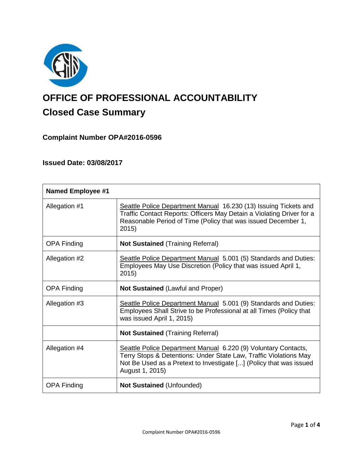

# **OFFICE OF PROFESSIONAL ACCOUNTABILITY Closed Case Summary**

## **Complaint Number OPA#2016-0596**

## **Issued Date: 03/08/2017**

| <b>Named Employee #1</b> |                                                                                                                                                                                                                              |
|--------------------------|------------------------------------------------------------------------------------------------------------------------------------------------------------------------------------------------------------------------------|
| Allegation #1            | Seattle Police Department Manual 16.230 (13) Issuing Tickets and<br>Traffic Contact Reports: Officers May Detain a Violating Driver for a<br>Reasonable Period of Time (Policy that was issued December 1,<br>2015)          |
| <b>OPA Finding</b>       | <b>Not Sustained (Training Referral)</b>                                                                                                                                                                                     |
| Allegation #2            | Seattle Police Department Manual 5.001 (5) Standards and Duties:<br>Employees May Use Discretion (Policy that was issued April 1,<br>2015)                                                                                   |
| <b>OPA Finding</b>       | <b>Not Sustained (Lawful and Proper)</b>                                                                                                                                                                                     |
| Allegation #3            | Seattle Police Department Manual 5.001 (9) Standards and Duties:<br>Employees Shall Strive to be Professional at all Times (Policy that<br>was issued April 1, 2015)                                                         |
|                          | <b>Not Sustained (Training Referral)</b>                                                                                                                                                                                     |
| Allegation #4            | Seattle Police Department Manual 6.220 (9) Voluntary Contacts,<br>Terry Stops & Detentions: Under State Law, Traffic Violations May<br>Not Be Used as a Pretext to Investigate [] (Policy that was issued<br>August 1, 2015) |
| <b>OPA Finding</b>       | Not Sustained (Unfounded)                                                                                                                                                                                                    |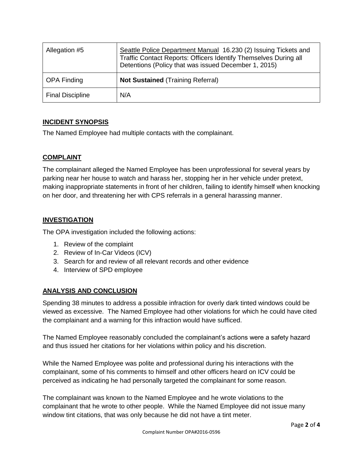| Allegation #5           | Seattle Police Department Manual 16.230 (2) Issuing Tickets and<br>Traffic Contact Reports: Officers Identify Themselves During all<br>Detentions (Policy that was issued December 1, 2015) |
|-------------------------|---------------------------------------------------------------------------------------------------------------------------------------------------------------------------------------------|
| <b>OPA Finding</b>      | <b>Not Sustained (Training Referral)</b>                                                                                                                                                    |
| <b>Final Discipline</b> | N/A                                                                                                                                                                                         |

## **INCIDENT SYNOPSIS**

The Named Employee had multiple contacts with the complainant.

## **COMPLAINT**

The complainant alleged the Named Employee has been unprofessional for several years by parking near her house to watch and harass her, stopping her in her vehicle under pretext, making inappropriate statements in front of her children, failing to identify himself when knocking on her door, and threatening her with CPS referrals in a general harassing manner.

## **INVESTIGATION**

The OPA investigation included the following actions:

- 1. Review of the complaint
- 2. Review of In-Car Videos (ICV)
- 3. Search for and review of all relevant records and other evidence
- 4. Interview of SPD employee

## **ANALYSIS AND CONCLUSION**

Spending 38 minutes to address a possible infraction for overly dark tinted windows could be viewed as excessive. The Named Employee had other violations for which he could have cited the complainant and a warning for this infraction would have sufficed.

The Named Employee reasonably concluded the complainant's actions were a safety hazard and thus issued her citations for her violations within policy and his discretion.

While the Named Employee was polite and professional during his interactions with the complainant, some of his comments to himself and other officers heard on ICV could be perceived as indicating he had personally targeted the complainant for some reason.

The complainant was known to the Named Employee and he wrote violations to the complainant that he wrote to other people. While the Named Employee did not issue many window tint citations, that was only because he did not have a tint meter.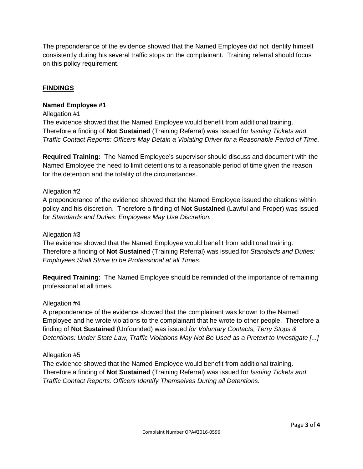The preponderance of the evidence showed that the Named Employee did not identify himself consistently during his several traffic stops on the complainant. Training referral should focus on this policy requirement.

## **FINDINGS**

#### **Named Employee #1**

#### Allegation #1

The evidence showed that the Named Employee would benefit from additional training. Therefore a finding of **Not Sustained** (Training Referral) was issued for *Issuing Tickets and Traffic Contact Reports: Officers May Detain a Violating Driver for a Reasonable Period of Time.*

**Required Training:** The Named Employee's supervisor should discuss and document with the Named Employee the need to limit detentions to a reasonable period of time given the reason for the detention and the totality of the circumstances.

#### Allegation #2

A preponderance of the evidence showed that the Named Employee issued the citations within policy and his discretion. Therefore a finding of **Not Sustained** (Lawful and Proper) was issued for *Standards and Duties: Employees May Use Discretion.*

#### Allegation #3

The evidence showed that the Named Employee would benefit from additional training. Therefore a finding of **Not Sustained** (Training Referral) was issued for *Standards and Duties: Employees Shall Strive to be Professional at all Times.*

**Required Training:** The Named Employee should be reminded of the importance of remaining professional at all times.

#### Allegation #4

A preponderance of the evidence showed that the complainant was known to the Named Employee and he wrote violations to the complainant that he wrote to other people. Therefore a finding of **Not Sustained** (Unfounded) was issued *for Voluntary Contacts, Terry Stops & Detentions: Under State Law, Traffic Violations May Not Be Used as a Pretext to Investigate [...]*

#### Allegation #5

The evidence showed that the Named Employee would benefit from additional training. Therefore a finding of **Not Sustained** (Training Referral) was issued for *Issuing Tickets and Traffic Contact Reports: Officers Identify Themselves During all Detentions.*